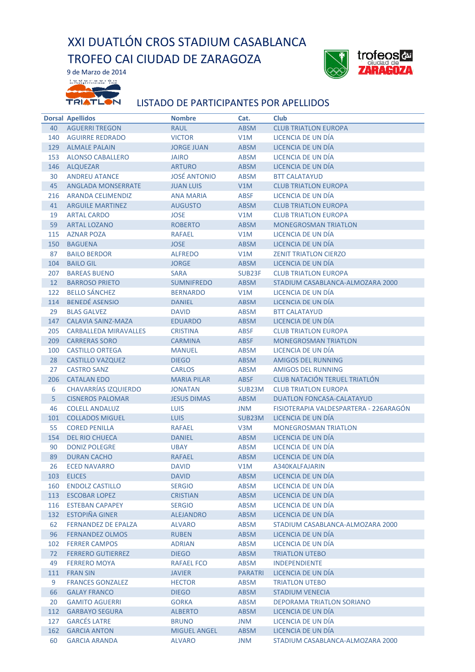XXI DUATLÓN CROS STADIUM CASABLANCA TROFEO CAI CIUDAD DE ZARAGOZA



9 de Marzo de 2014 **Legeneer** as **COLARED** ₹ TRIATLON

## LISTADO DE PARTICIPANTES POR APELLIDOS

|     | <b>Dorsal Apellidos</b>      | <b>Nombre</b>       | Cat.           | <b>Club</b>                            |
|-----|------------------------------|---------------------|----------------|----------------------------------------|
| 40  | <b>AGUERRI TREGON</b>        | <b>RAUL</b>         | <b>ABSM</b>    | <b>CLUB TRIATLON EUROPA</b>            |
| 140 | <b>AGUIRRE REDRADO</b>       | <b>VICTOR</b>       | V1M            | LICENCIA DE UN DÍA                     |
| 129 | <b>ALMALE PALAIN</b>         | <b>JORGE JUAN</b>   | <b>ABSM</b>    | LICENCIA DE UN DÍA                     |
| 153 | <b>ALONSO CABALLERO</b>      | <b>JAIRO</b>        | <b>ABSM</b>    | LICENCIA DE UN DÍA                     |
|     |                              |                     |                | LICENCIA DE UN DÍA                     |
| 146 | <b>ALQUEZAR</b>              | <b>ARTURO</b>       | <b>ABSM</b>    |                                        |
| 30  | <b>ANDREU ATANCE</b>         | <b>JOSÉ ANTONIO</b> | <b>ABSM</b>    | <b>BTT CALATAYUD</b>                   |
| 45  | <b>ANGLADA MONSERRATE</b>    | <b>JUAN LUIS</b>    | V1M            | <b>CLUB TRIATLON EUROPA</b>            |
| 216 | <b>ARANDA CELIMENDIZ</b>     | <b>ANA MARIA</b>    | ABSF           | LICENCIA DE UN DÍA                     |
| 41  | <b>ARGUILE MARTINEZ</b>      | <b>AUGUSTO</b>      | <b>ABSM</b>    | <b>CLUB TRIATLON EUROPA</b>            |
| 19  | <b>ARTAL CARDO</b>           | <b>JOSE</b>         | V1M            | <b>CLUB TRIATLON EUROPA</b>            |
| 59  | <b>ARTAL LOZANO</b>          | <b>ROBERTO</b>      | <b>ABSM</b>    | <b>MONEGROSMAN TRIATLON</b>            |
| 115 | <b>AZNAR POZA</b>            | <b>RAFAEL</b>       | V1M            | LICENCIA DE UN DÍA                     |
| 150 | <b>BAGUENA</b>               | <b>JOSE</b>         | <b>ABSM</b>    | LICENCIA DE UN DÍA                     |
| 87  | <b>BAILO BERDOR</b>          | <b>ALFREDO</b>      | V1M            | <b>ZENIT TRIATLON CIERZO</b>           |
| 104 | <b>BAILO GIL</b>             | <b>JORGE</b>        | <b>ABSM</b>    | LICENCIA DE UN DÍA                     |
| 207 | <b>BAREAS BUENO</b>          | <b>SARA</b>         | SUB23F         | <b>CLUB TRIATLON EUROPA</b>            |
| 12  | <b>BARROSO PRIETO</b>        | <b>SUMNIFREDO</b>   | <b>ABSM</b>    | STADIUM CASABLANCA-ALMOZARA 2000       |
| 122 | <b>BELLO SÁNCHEZ</b>         | <b>BERNARDO</b>     | V1M            | LICENCIA DE UN DÍA                     |
| 114 | <b>BENEDÉ ASENSIO</b>        | <b>DANIEL</b>       | <b>ABSM</b>    | LICENCIA DE UN DÍA                     |
| 29  | <b>BLAS GALVEZ</b>           | <b>DAVID</b>        | <b>ABSM</b>    | <b>BTT CALATAYUD</b>                   |
| 147 | <b>CALAVIA SAINZ-MAZA</b>    | <b>EDUARDO</b>      | <b>ABSM</b>    | LICENCIA DE UN DÍA                     |
| 205 | <b>CARBALLEDA MIRAVALLES</b> | <b>CRISTINA</b>     | <b>ABSF</b>    | <b>CLUB TRIATLON EUROPA</b>            |
| 209 | <b>CARRERAS SORO</b>         | <b>CARMINA</b>      | <b>ABSF</b>    | <b>MONEGROSMAN TRIATLON</b>            |
| 100 | <b>CASTILLO ORTEGA</b>       | <b>MANUEL</b>       | <b>ABSM</b>    | LICENCIA DE UN DÍA                     |
| 28  | <b>CASTILLO VAZQUEZ</b>      | <b>DIEGO</b>        | <b>ABSM</b>    | <b>AMIGOS DEL RUNNING</b>              |
| 27  | <b>CASTRO SANZ</b>           | <b>CARLOS</b>       | <b>ABSM</b>    | <b>AMIGOS DEL RUNNING</b>              |
| 206 | <b>CATALAN EDO</b>           | <b>MARIA PILAR</b>  | <b>ABSF</b>    | <b>CLUB NATACIÓN TERUEL TRIATLÓN</b>   |
| 6   | <b>CHAVARRÍAS IZQUIERDO</b>  | <b>JONATAN</b>      | SUB23M         | <b>CLUB TRIATLON EUROPA</b>            |
| 5   | <b>CISNEROS PALOMAR</b>      | <b>JESUS DIMAS</b>  | <b>ABSM</b>    | <b>DUATLON FONCASA-CALATAYUD</b>       |
| 46  | <b>COLELL ANDALUZ</b>        | <b>LUIS</b>         | <b>JNM</b>     | FISIOTERAPIA VALDESPARTERA - 226ARAGÓN |
| 101 | <b>COLLADOS MIGUEL</b>       | <b>LUIS</b>         | SUB23M         | LICENCIA DE UN DÍA                     |
| 55  | <b>CORED PENILLA</b>         | <b>RAFAEL</b>       | V3M            | <b>MONEGROSMAN TRIATLON</b>            |
| 154 | <b>DEL RIO CHUECA</b>        | <b>DANIEL</b>       | <b>ABSM</b>    | LICENCIA DE UN DÍA                     |
| 90  | <b>DONIZ POLEGRE</b>         | <b>UBAY</b>         | <b>ABSM</b>    | LICENCIA DE UN DÍA                     |
| 89  | <b>DURAN CACHO</b>           | <b>RAFAEL</b>       | <b>ABSM</b>    | LICENCIA DE UN DÍA                     |
| 26  | <b>ECED NAVARRO</b>          | <b>DAVID</b>        | V1M            | A340KALFAJARIN                         |
| 103 | <b>ELICES</b>                | <b>DAVID</b>        | <b>ABSM</b>    | LICENCIA DE UN DÍA                     |
| 160 | <b>ENDOLZ CASTILLO</b>       | <b>SERGIO</b>       | <b>ABSM</b>    | LICENCIA DE UN DÍA                     |
| 113 | <b>ESCOBAR LOPEZ</b>         | <b>CRISTIAN</b>     | <b>ABSM</b>    | LICENCIA DE UN DÍA                     |
| 116 | <b>ESTEBAN CAPAPEY</b>       | <b>SERGIO</b>       | <b>ABSM</b>    | LICENCIA DE UN DÍA                     |
| 132 | <b>ESTOPIÑA GINER</b>        | <b>ALEJANDRO</b>    | <b>ABSM</b>    | LICENCIA DE UN DÍA                     |
| 62  | <b>FERNANDEZ DE EPALZA</b>   | <b>ALVARO</b>       | <b>ABSM</b>    | STADIUM CASABLANCA-ALMOZARA 2000       |
| 96  | <b>FERNANDEZ OLMOS</b>       | <b>RUBEN</b>        | <b>ABSM</b>    | LICENCIA DE UN DÍA                     |
| 102 | <b>FERRER CAMPOS</b>         | <b>ADRIAN</b>       | <b>ABSM</b>    | LICENCIA DE UN DÍA                     |
| 72  | <b>FERRERO GUTIERREZ</b>     | <b>DIEGO</b>        | <b>ABSM</b>    | <b>TRIATLON UTEBO</b>                  |
| 49  | <b>FERRERO MOYA</b>          | <b>RAFAEL FCO</b>   | <b>ABSM</b>    | <b>INDEPENDIENTE</b>                   |
| 111 | <b>FRAN SIN</b>              | <b>JAVIER</b>       | <b>PARATRI</b> | LICENCIA DE UN DÍA                     |
| 9   | <b>FRANCES GONZALEZ</b>      | <b>HECTOR</b>       | <b>ABSM</b>    | <b>TRIATLON UTEBO</b>                  |
| 66  | <b>GALAY FRANCO</b>          | <b>DIEGO</b>        | <b>ABSM</b>    | <b>STADIUM VENECIA</b>                 |
| 20  | <b>GAMITO AGUERRI</b>        | <b>GORKA</b>        | <b>ABSM</b>    | <b>DEPORAMA TRIATLON SORIANO</b>       |
| 112 | <b>GARBAYO SEGURA</b>        | <b>ALBERTO</b>      | <b>ABSM</b>    | LICENCIA DE UN DÍA                     |
| 127 | <b>GARCÉS LATRE</b>          | <b>BRUNO</b>        | <b>JNM</b>     | LICENCIA DE UN DÍA                     |
| 162 | <b>GARCIA ANTON</b>          | <b>MIGUEL ANGEL</b> | <b>ABSM</b>    | LICENCIA DE UN DÍA                     |
| 60  | <b>GARCIA ARANDA</b>         | <b>ALVARO</b>       | <b>JNM</b>     | STADIUM CASABLANCA-ALMOZARA 2000       |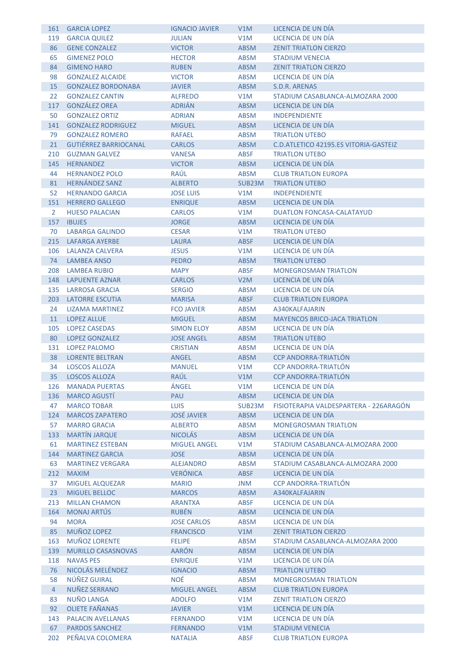|                | 161 GARCIA LOPEZ                                  | <b>IGNACIO JAVIER</b>             | V1M                | LICENCIA DE UN DÍA                           |
|----------------|---------------------------------------------------|-----------------------------------|--------------------|----------------------------------------------|
| 119            | <b>GARCIA QUILEZ</b>                              | <b>JULIAN</b>                     | V1M                | LICENCIA DE UN DÍA                           |
| 86             | <b>GENE CONZALEZ</b>                              | <b>VICTOR</b>                     | <b>ABSM</b>        | <b>ZENIT TRIATLON CIERZO</b>                 |
| 65             | <b>GIMENEZ POLO</b>                               | <b>HECTOR</b>                     | <b>ABSM</b>        | <b>STADIUM VENECIA</b>                       |
| 84             | <b>GIMENO HARO</b>                                | <b>RUBEN</b>                      | <b>ABSM</b>        | <b>ZENIT TRIATLON CIERZO</b>                 |
| 98             | <b>GONZALEZ ALCAIDE</b>                           | <b>VICTOR</b>                     | <b>ABSM</b>        | LICENCIA DE UN DÍA                           |
| 15             | <b>GONZALEZ BORDONABA</b>                         | <b>JAVIER</b>                     | <b>ABSM</b>        | S.D.R. ARENAS                                |
| 22             | <b>GONZALEZ CANTIN</b>                            | <b>ALFREDO</b>                    | V1M                | STADIUM CASABLANCA-ALMOZARA 2000             |
| 117            | <b>GONZÁLEZ OREA</b>                              | <b>ADRIÁN</b>                     | <b>ABSM</b>        | LICENCIA DE UN DÍA                           |
| 50             | <b>GONZALEZ ORTIZ</b>                             | <b>ADRIAN</b>                     | <b>ABSM</b>        | <b>INDEPENDIENTE</b>                         |
| 141            | <b>GONZALEZ RODRIGUEZ</b>                         | <b>MIGUEL</b>                     | <b>ABSM</b>        | LICENCIA DE UN DÍA                           |
| 79             | <b>GONZALEZ ROMERO</b>                            | <b>RAFAEL</b>                     | <b>ABSM</b>        | <b>TRIATLON UTEBO</b>                        |
| 21             | <b>GUTIÉRREZ BARRIOCANAL</b>                      | <b>CARLOS</b>                     | <b>ABSM</b>        | <b>C.D.ATLETICO 42195.ES VITORIA-GASTEIZ</b> |
| 210            | <b>GUZMAN GALVEZ</b>                              | <b>VANESA</b>                     | <b>ABSF</b>        | <b>TRIATLON UTEBO</b>                        |
| 145            | <b>HERNANDEZ</b>                                  | <b>VICTOR</b>                     | <b>ABSM</b>        | LICENCIA DE UN DÍA                           |
| 44             | <b>HERNANDEZ POLO</b>                             | RAÚL                              | <b>ABSM</b>        | <b>CLUB TRIATLON EUROPA</b>                  |
| 81             | <b>HERNÁNDEZ SANZ</b>                             | <b>ALBERTO</b>                    | SUB23M             | <b>TRIATLON UTEBO</b>                        |
| 52             | <b>HERNANDO GARCIA</b>                            | <b>JOSE LUIS</b>                  | V1M                | <b>INDEPENDIENTE</b>                         |
| 151            | <b>HERRERO GALLEGO</b>                            | <b>ENRIQUE</b>                    | <b>ABSM</b>        | LICENCIA DE UN DÍA                           |
| $\overline{2}$ | <b>HUESO PALACIAN</b>                             | <b>CARLOS</b>                     | V1M                | <b>DUATLON FONCASA-CALATAYUD</b>             |
| 157            | <b>IBUJES</b>                                     | <b>JORGE</b>                      | <b>ABSM</b>        | LICENCIA DE UN DÍA                           |
| 70             | <b>LABARGA GALINDO</b>                            | <b>CESAR</b>                      | V1M                | <b>TRIATLON UTEBO</b>                        |
| 215            | <b>LAFARGA AYERBE</b>                             | <b>LAURA</b>                      | <b>ABSF</b>        | LICENCIA DE UN DÍA                           |
| 106            | LALANZA CALVERA                                   | <b>JESUS</b>                      | V1M                | LICENCIA DE UN DÍA                           |
| 74             | <b>LAMBEA ANSO</b>                                | <b>PEDRO</b>                      | <b>ABSM</b>        | <b>TRIATLON UTEBO</b>                        |
| 208            | <b>LAMBEA RUBIO</b>                               | <b>MAPY</b>                       | <b>ABSF</b>        | <b>MONEGROSMAN TRIATLON</b>                  |
| 148            | <b>LAPUENTE AZNAR</b>                             | <b>CARLOS</b>                     | V2M                | LICENCIA DE UN DÍA                           |
| 135            | <b>LARROSA GRACIA</b>                             | <b>SERGIO</b>                     | <b>ABSM</b>        | LICENCIA DE UN DÍA                           |
| 203            | <b>LATORRE ESCUTIA</b>                            | <b>MARISA</b>                     | <b>ABSF</b>        | <b>CLUB TRIATLON EUROPA</b>                  |
| 24             | <b>LIZAMA MARTINEZ</b>                            | <b>FCO JAVIER</b>                 | <b>ABSM</b>        | A340KALFAJARIN                               |
| 11             | <b>LOPEZ ALLUE</b>                                | <b>MIGUEL</b>                     | <b>ABSM</b>        | <b>MAYENCOS BRICO-JACA TRIATLON</b>          |
| 105            | <b>LOPEZ CASEDAS</b>                              | <b>SIMON ELOY</b>                 | <b>ABSM</b>        | LICENCIA DE UN DÍA                           |
| 80             | LOPEZ GONZALEZ                                    | <b>JOSE ANGEL</b>                 | <b>ABSM</b>        | <b>TRIATLON UTEBO</b>                        |
| 131            | <b>LOPEZ PALOMO</b>                               | <b>CRISTIAN</b>                   | <b>ABSM</b>        | LICENCIA DE UN DÍA                           |
| 38             | <b>LORENTE BELTRAN</b>                            | ANGEL                             | <b>ABSM</b>        | <b>CCP ANDORRA-TRIATLON</b>                  |
| 34             | <b>LOSCOS ALLOZA</b>                              | <b>MANUEL</b>                     | V1M                | <b>CCP ANDORRA-TRIATLÓN</b>                  |
| 35             | <b>LOSCOS ALLOZA</b>                              | RAÚL                              | V1M                | <b>CCP ANDORRA-TRIATLÓN</b>                  |
| 126            | <b>MANADA PUERTAS</b>                             | ÁNGEL                             | V1M                | LICENCIA DE UN DÍA                           |
| 136            | <b>MARCO AGUSTÍ</b>                               | PAU                               | <b>ABSM</b>        | LICENCIA DE UN DÍA                           |
| 47             | <b>MARCO TOBAR</b>                                | <b>LUIS</b>                       | SUB23M             | FISIOTERAPIA VALDESPARTERA - 226ARAGÓN       |
| 124            | <b>MARCOS ZAPATERO</b>                            | <b>JOSÉ JAVIER</b>                | <b>ABSM</b>        | LICENCIA DE UN DÍA                           |
| 57             | <b>MARRO GRACIA</b>                               | <b>ALBERTO</b>                    | <b>ABSM</b>        | <b>MONEGROSMAN TRIATLON</b>                  |
| 133            | <b>MARTÍN JARQUE</b>                              | <b>NICOLÁS</b>                    | <b>ABSM</b>        | LICENCIA DE UN DÍA                           |
| 61             | <b>MARTINEZ ESTEBAN</b>                           | <b>MIGUEL ANGEL</b>               | V1M                | STADIUM CASABLANCA-ALMOZARA 2000             |
| 144            | <b>MARTINEZ GARCIA</b>                            | <b>JOSE</b>                       | <b>ABSM</b>        | LICENCIA DE UN DÍA                           |
| 63             | <b>MARTINEZ VERGARA</b>                           | <b>ALEJANDRO</b>                  | <b>ABSM</b>        | STADIUM CASABLANCA-ALMOZARA 2000             |
| 212            | <b>MAXIM</b>                                      | <b>VERÓNICA</b>                   | <b>ABSF</b>        | LICENCIA DE UN DÍA                           |
| 37             | MIGUEL ALQUEZAR                                   | <b>MARIO</b>                      | <b>JNM</b>         | CCP ANDORRA-TRIATLÓN                         |
| 23             | <b>MIGUEL BELLOC</b>                              | <b>MARCOS</b>                     | <b>ABSM</b>        | A340KALFAJARIN                               |
| 213            | <b>MILLAN CHAMON</b>                              | <b>ARANTXA</b>                    | <b>ABSF</b>        | LICENCIA DE UN DÍA                           |
| 164            | <b>MONAJ ARTÚS</b>                                | <b>RUBÉN</b>                      | <b>ABSM</b>        | LICENCIA DE UN DÍA                           |
| 94             | <b>MORA</b>                                       | <b>JOSE CARLOS</b>                | <b>ABSM</b>        | LICENCIA DE UN DÍA                           |
| 85             | MUÑOZ LOPEZ                                       | <b>FRANCISCO</b>                  | V1M                | <b>ZENIT TRIATLON CIERZO</b>                 |
| 163            | <b>MUÑOZ LORENTE</b>                              | <b>FELIPE</b>                     | <b>ABSM</b>        | STADIUM CASABLANCA-ALMOZARA 2000             |
| 139            | MURILLO CASASNOVAS                                | <b>AARÓN</b>                      | <b>ABSM</b>        | LICENCIA DE UN DÍA                           |
| 118            | <b>NAVAS PES</b>                                  | <b>ENRIQUE</b>                    | V1M                | LICENCIA DE UN DÍA                           |
| 76             | NICOLÁS MELÉNDEZ                                  | <b>IGNACIO</b>                    | <b>ABSM</b>        | <b>TRIATLON UTEBO</b>                        |
| 58             | NÚÑEZ GUIRAL                                      | <b>NOÉ</b>                        | <b>ABSM</b>        | <b>MONEGROSMAN TRIATLON</b>                  |
| $\overline{4}$ | NUÑEZ SERRANO                                     | <b>MIGUEL ANGEL</b>               | <b>ABSM</b>        | <b>CLUB TRIATLON EUROPA</b>                  |
| 83             | NUÑO LANGA<br><b>OLIETE FAÑANAS</b>               | <b>ADOLFO</b>                     | V1M                | <b>ZENIT TRIATLON CIERZO</b>                 |
| 92             |                                                   | <b>JAVIER</b>                     | V1M                | LICENCIA DE UN DÍA                           |
| 143<br>67      | <b>PALACIN AVELLANAS</b><br><b>PARDOS SANCHEZ</b> | <b>FERNANDO</b>                   | V1M                | LICENCIA DE UN DÍA<br><b>STADIUM VENECIA</b> |
| 202            | PEÑALVA COLOMERA                                  | <b>FERNANDO</b><br><b>NATALIA</b> | V1M<br><b>ABSF</b> | <b>CLUB TRIATLON EUROPA</b>                  |
|                |                                                   |                                   |                    |                                              |